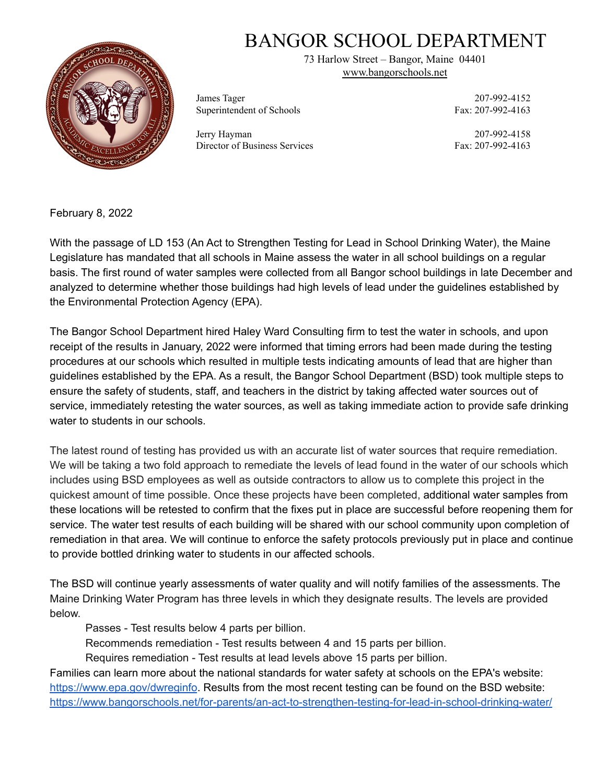## BANGOR SCHOOL DEPARTMENT



73 Harlow Street – Bangor, Maine 04401 www.bangorschools.net

James Tager 207-992-4152 Superintendent of Schools Fax: 207-992-4163

Jerry Hayman 207-992-4158 Director of Business Services Fax: 207-992-4163

February 8, 2022

With the passage of LD 153 (An Act to Strengthen Testing for Lead in School Drinking Water), the Maine Legislature has mandated that all schools in Maine assess the water in all school buildings on a regular basis. The first round of water samples were collected from all Bangor school buildings in late December and analyzed to determine whether those buildings had high levels of lead under the guidelines established by the Environmental Protection Agency (EPA).

The Bangor School Department hired Haley Ward Consulting firm to test the water in schools, and upon receipt of the results in January, 2022 were informed that timing errors had been made during the testing procedures at our schools which resulted in multiple tests indicating amounts of lead that are higher than guidelines established by the EPA. As a result, the Bangor School Department (BSD) took multiple steps to ensure the safety of students, staff, and teachers in the district by taking affected water sources out of service, immediately retesting the water sources, as well as taking immediate action to provide safe drinking water to students in our schools.

The latest round of testing has provided us with an accurate list of water sources that require remediation. We will be taking a two fold approach to remediate the levels of lead found in the water of our schools which includes using BSD employees as well as outside contractors to allow us to complete this project in the quickest amount of time possible. Once these projects have been completed, additional water samples from these locations will be retested to confirm that the fixes put in place are successful before reopening them for service. The water test results of each building will be shared with our school community upon completion of remediation in that area. We will continue to enforce the safety protocols previously put in place and continue to provide bottled drinking water to students in our affected schools.

The BSD will continue yearly assessments of water quality and will notify families of the assessments. The Maine Drinking Water Program has three levels in which they designate results. The levels are provided below.

Passes - Test results below 4 parts per billion.

Recommends remediation - Test results between 4 and 15 parts per billion.

Requires remediation - Test results at lead levels above 15 parts per billion.

Families can learn more about the national standards for water safety at schools on the EPA's website: <https://www.epa.gov/dwreginfo>. Results from the most recent testing can be found on the BSD website: <https://www.bangorschools.net/for-parents/an-act-to-strengthen-testing-for-lead-in-school-drinking-water/>